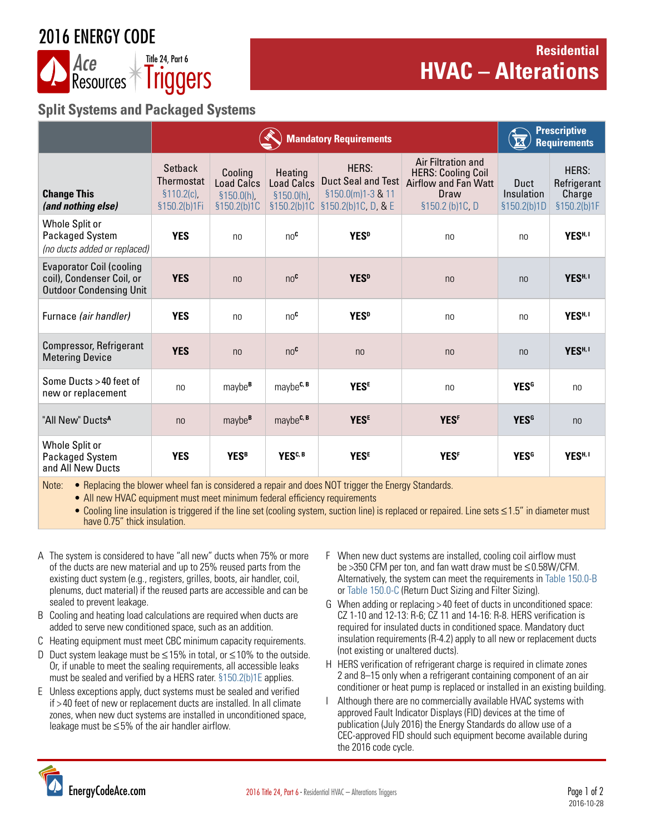## 2016 ENERGY CODE



### **Residential HVAC** – **Alterations**

### **Split Systems and Packaged Systems**

|                                                                                                | <b>Mandatory Requirements</b>                          |                                                        |                                                     |                                                                         |                                                                                                           | <b>Prescriptive</b><br><b>Requirements</b> |                                               |
|------------------------------------------------------------------------------------------------|--------------------------------------------------------|--------------------------------------------------------|-----------------------------------------------------|-------------------------------------------------------------------------|-----------------------------------------------------------------------------------------------------------|--------------------------------------------|-----------------------------------------------|
| <b>Change This</b><br>(and nothing else)                                                       | Setback<br>Thermostat<br>$$110.2(c)$ ,<br>§150.2(b)1Fi | Cooling<br>Load Calcs<br>$$150.0(h)$ ,<br>\$150.2(b)1C | Heating<br>Load Calcs<br>\$150.0(h)<br>\$150.2(b)1C | HERS:<br>Duct Seal and Test<br>§150.0(m)1-3 & 11<br>§150.2(b)1C, D, & E | Air Filtration and<br><b>HERS: Cooling Coil</b><br><b>Airflow and Fan Watt</b><br>Draw<br>§150.2 (b)1C, D | <b>Duct</b><br>Insulation<br>§150.2(b)1D   | HERS:<br>Refrigerant<br>Charge<br>§150.2(b)1F |
| Whole Split or<br>Packaged System<br>(no ducts added or replaced)                              | <b>YES</b>                                             | n <sub>0</sub>                                         | $n \Omega$ <sup>C</sup>                             | <b>YES</b> <sup>D</sup>                                                 | n <sub>0</sub>                                                                                            | no                                         | YES <sup>H, I</sup>                           |
| <b>Evaporator Coil (cooling</b><br>coil), Condenser Coil, or<br><b>Outdoor Condensing Unit</b> | <b>YES</b>                                             | n <sub>0</sub>                                         | no <sup>c</sup>                                     | <b>YES</b> <sup>D</sup>                                                 | n <sub>0</sub>                                                                                            | n <sub>0</sub>                             | YES <sup>H, I</sup>                           |
| Furnace (air handler)                                                                          | <b>YES</b>                                             | n <sub>0</sub>                                         | no <sup>c</sup>                                     | <b>YES</b> <sup>D</sup>                                                 | n <sub>0</sub>                                                                                            | n <sub>0</sub>                             | YES <sup>H, I</sup>                           |
| Compressor, Refrigerant<br><b>Metering Device</b>                                              | <b>YES</b>                                             | n <sub>0</sub>                                         | no <sup>c</sup>                                     | n <sub>0</sub>                                                          | n <sub>0</sub>                                                                                            | n <sub>0</sub>                             | YES <sup>H, I</sup>                           |
| Some Ducts > 40 feet of<br>new or replacement                                                  | n <sub>0</sub>                                         | maybe <sup>B</sup>                                     | maybe <sup>c, B</sup>                               | <b>YESE</b>                                                             | n <sub>0</sub>                                                                                            | <b>YESG</b>                                | n <sub>0</sub>                                |
| "All New" Ducts <sup>A</sup>                                                                   | n <sub>0</sub>                                         | maybe <sup>B</sup>                                     | maybe <sup>c, B</sup>                               | <b>YESE</b>                                                             | <b>YESF</b>                                                                                               | <b>YESG</b>                                | n <sub>0</sub>                                |
| Whole Split or<br>Packaged System<br>and All New Ducts                                         | <b>YES</b>                                             | <b>YESB</b>                                            | YES <sup>C, B</sup>                                 | <b>YESE</b>                                                             | <b>YESF</b>                                                                                               | <b>YESG</b>                                | YES <sup>H, I</sup>                           |

Note: • Replacing the blower wheel fan is considered a repair and does NOT trigger the Energy Standards.

• All new HVAC equipment must meet minimum federal efficiency requirements

• Cooling line insulation is triggered if the line set (cooling system, suction line) is replaced or repaired. Line sets ≤1.5" in diameter must have 0.75" thick insulation.

- A The system is considered to have "all new" ducts when 75% or more of the ducts are new material and up to 25% reused parts from the existing duct system (e.g., registers, grilles, boots, air handler, coil, plenums, duct material) if the reused parts are accessible and can be sealed to prevent leakage.
- B Cooling and heating load calculations are required when ducts are added to serve new conditioned space, such as an addition.
- C Heating equipment must meet CBC minimum capacity requirements.
- D Duct system leakage must be ≤15% in total, or ≤10% to the outside. Or, if unable to meet the sealing requirements, all accessible leaks must be sealed and verified by a HERS rater. [§150.2\(b\)1E](http://energycodeace.com/site/custom/public/reference-ace-2016/Documents/section1502energyefficiencystandardsforadditionsandalterationsto.htm) applies.
- E Unless exceptions apply, duct systems must be sealed and verified if > 40 feet of new or replacement ducts are installed. In all climate zones, when new duct systems are installed in unconditioned space, leakage must be ≤5% of the air handler airflow.
- F When new duct systems are installed, cooling coil airflow must be >350 CFM per ton, and fan watt draw must be ≤0.58W/CFM. Alternatively, the system can meet the requirements in [Table 150.0-B](http://energycodeace.com/site/custom/public/reference-ace-2016/Documents/section1500mandatoryfeaturesanddevices.htm) or [Table 150.0-C](http://energycodeace.com/site/custom/public/reference-ace-2016/Documents/section1500mandatoryfeaturesanddevices.htm) (Return Duct Sizing and Filter Sizing).
- G When adding or replacing > 40 feet of ducts in unconditioned space: CZ 1-10 and 12-13: R-6; CZ 11 and 14-16: R-8. HERS verification is required for insulated ducts in conditioned space. Mandatory duct insulation requirements (R-4.2) apply to all new or replacement ducts (not existing or unaltered ducts).
- H HERS verification of refrigerant charge is required in climate zones 2 and 8–15 only when a refrigerant containing component of an air conditioner or heat pump is replaced or installed in an existing building.
- Although there are no commercially available HVAC systems with approved Fault Indicator Displays (FID) devices at the time of publication (July 2016) the Energy Standards do allow use of a CEC-approved FID should such equipment become available during the 2016 code cycle.